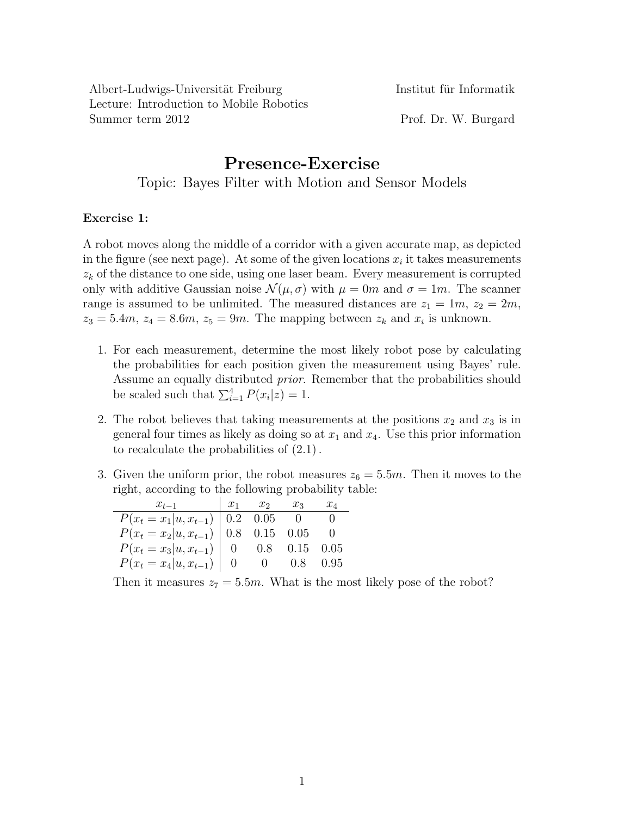Albert-Ludwigs-Universität Freiburg Institut für Informatik Lecture: Introduction to Mobile Robotics Summer term 2012 Prof. Dr. W. Burgard

## **Presence-Exercise** Topic: Bayes Filter with Motion and Sensor Models

## **Exercise 1:**

A robot moves along the middle of a corridor with a given accurate map, as depicted in the figure (see next page). At some of the given locations  $x_i$  it takes measurements *z<sup>k</sup>* of the distance to one side, using one laser beam. Every measurement is corrupted only with additive Gaussian noise  $\mathcal{N}(\mu, \sigma)$  with  $\mu = 0m$  and  $\sigma = 1m$ . The scanner range is assumed to be unlimited. The measured distances are  $z_1 = 1m$ ,  $z_2 = 2m$ ,  $z_3 = 5.4m$ ,  $z_4 = 8.6m$ ,  $z_5 = 9m$ . The mapping between  $z_k$  and  $x_i$  is unknown.

- 1. For each measurement, determine the most likely robot pose by calculating the probabilities for each position given the measurement using Bayes' rule. Assume an equally distributed *prior*. Remember that the probabilities should be scaled such that  $\sum_{i=1}^{4} P(x_i|z) = 1$ .
- 2. The robot believes that taking measurements at the positions  $x_2$  and  $x_3$  is in general four times as likely as doing so at  $x_1$  and  $x_4$ . Use this prior information to recalculate the probabilities of (2.1) .
- 3. Given the uniform prior, the robot measures  $z_6 = 5.5m$ . Then it moves to the right, according to the following probability table:

| $x_{t-1}$                                              | $x_1$ $x_2$ $x_3$   |                    | $x_4$ |
|--------------------------------------------------------|---------------------|--------------------|-------|
| $P(x_t = x_1   u, x_{t-1})$ 0.2 0.05 0                 |                     |                    |       |
| $P(x_t = x_2   u, x_{t-1})   0.8 \t 0.15 \t 0.05 \t 0$ |                     |                    |       |
| $P(x_t = x_3   u, x_{t-1}) \mid 0$                     | $0.8$ $0.15$ $0.05$ |                    |       |
| $P(x_t = x_4   u, x_{t-1}) \mid 0$                     |                     | $0 \t 0.8 \t 0.95$ |       |

Then it measures  $z_7 = 5.5m$ . What is the most likely pose of the robot?